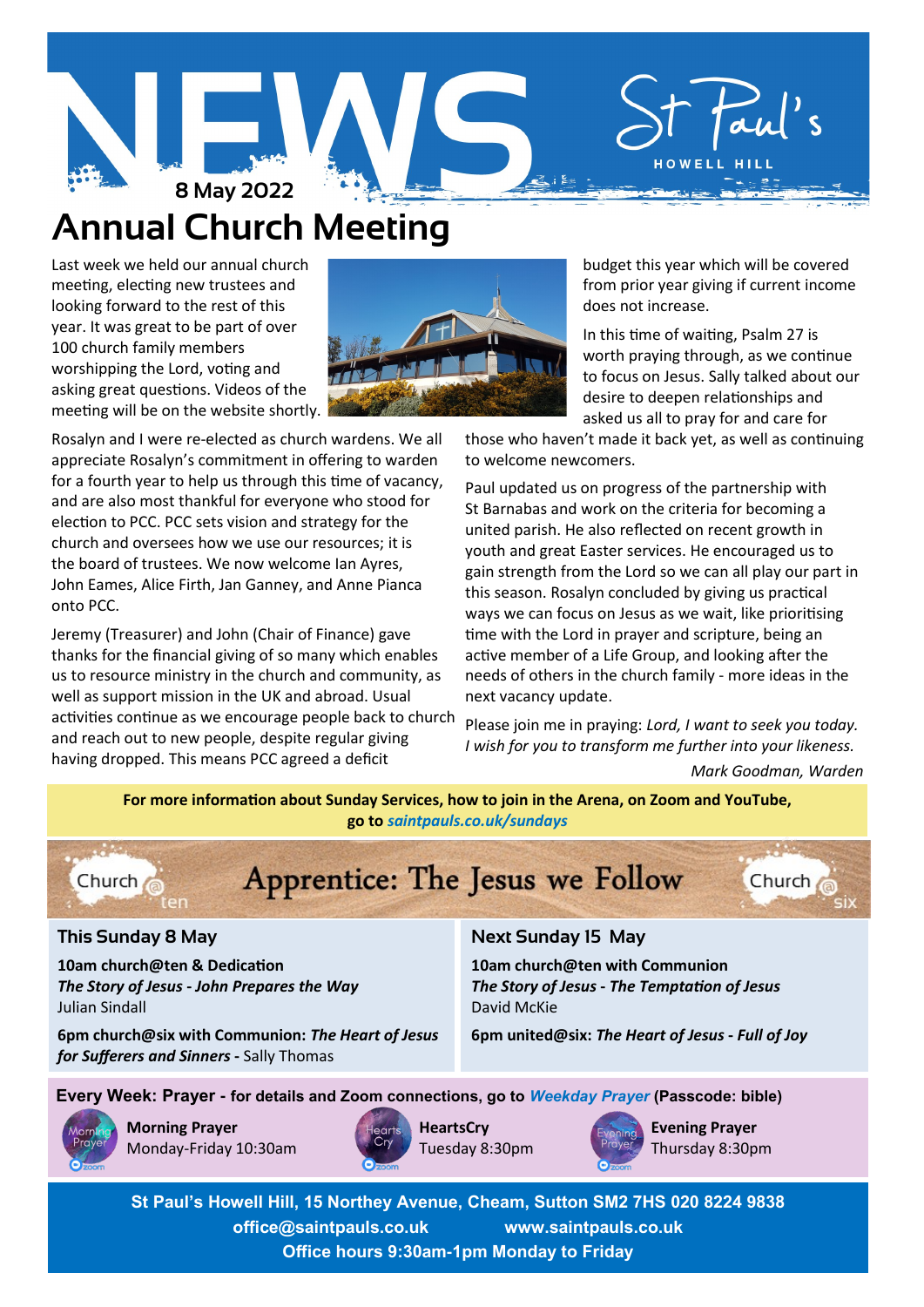

# **Annual Church Meeting**

Last week we held our annual church meeting, electing new trustees and looking forward to the rest of this year. It was great to be part of over 100 church family members worshipping the Lord, voting and asking great questions. Videos of the meeting will be on the website shortly.



Jeremy (Treasurer) and John (Chair of Finance) gave thanks for the financial giving of so many which enables us to resource ministry in the church and community, as well as support mission in the UK and abroad. Usual activities continue as we encourage people back to church and reach out to new people, despite regular giving having dropped. This means PCC agreed a deficit



 budget this year which will be covered from prior year giving if current income does not increase.

 In this time of waiting, Psalm 27 is worth praying through, as we continue to focus on Jesus. Sally talked about our desire to deepen relationships and asked us all to pray for and care for

those who haven't made it back yet, as well as continuing to welcome newcomers.

Paul updated us on progress of the partnership with St Barnabas and work on the criteria for becoming a united parish. He also reflected on recent growth in youth and great Easter services. He encouraged us to gain strength from the Lord so we can all play our part in this season. Rosalyn concluded by giving us practical ways we can focus on Jesus as we wait, like prioritising time with the Lord in prayer and scripture, being an active member of a Life Group, and looking after the needs of others in the church family - more ideas in the next vacancy update.

Please join me in praying: *Lord, I want to seek you today. I wish for you to transform me further into your likeness.* 

*Mark Goodman, Warden*

**For more information about Sunday Services, how to join in the Arena, on Zoom and YouTube, go to** *[saintpauls.co.uk/sundays](https://www.saintpauls.co.uk/Groups/355737/Sundays.aspx)*



# Apprentice: The Jesus we Follow



# **This Sunday 8 May**

**10am church@ten & Dedication** *The Story of Jesus* **-** *John Prepares the Way* Julian Sindall

**6pm church@six with Communion:** *The Heart of Jesus for Sufferers and Sinners* **-** Sally Thomas

# **Next Sunday 15 May**

**10am church@ten with Communion** *The Story of Jesus* **-** *The Temptation of Jesus* David McKie

**6pm united@six:** *The Heart of Jesus* **-** *Full of Joy*

**Every Week: Prayer - for details and Zoom connections, go to** *[Weekday Prayer](https://www.saintpauls.co.uk/Groups/350973/Weekday_Prayer.aspx)* **(Passcode: bible)**



**Morning Prayer** Monday-Friday 10:30am



**HeartsCry** Tuesday 8:30pm



**Evening Prayer** Thursday 8:30pm

**St Paul's Howell Hill, 15 Northey Avenue, Cheam, Sutton SM2 7HS 020 8224 9838 office@saintpauls.co.uk www.saintpauls.co.uk Office hours 9:30am-1pm Monday to Friday**